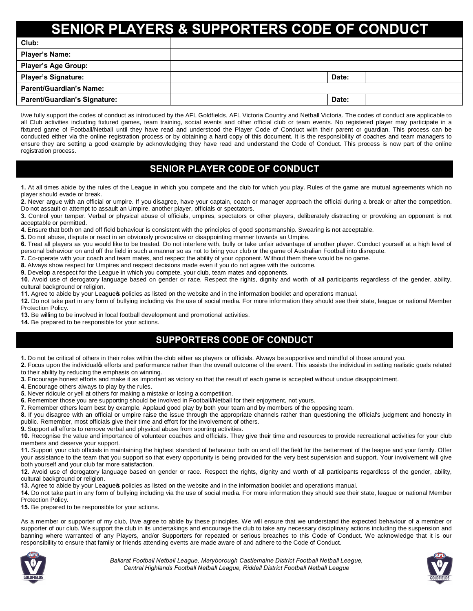# **IS & SUPPORTERS CODE OF CONDUCT**

| Club:                               |       |
|-------------------------------------|-------|
| <b>Player's Name:</b>               |       |
| <b>Player's Age Group:</b>          |       |
| <b>Player's Signature:</b>          | Date: |
| <b>Parent/Guardian's Name:</b>      |       |
| <b>Parent/Guardian's Signature:</b> | Date: |

I/we fully support the codes of conduct as introduced by the AFL Goldfields, AFL Victoria Country and Netball Victoria. The codes of conduct are applicable to all Club activities including fixtured games, team training, social events and other official club or team events. No registered player may participate in a fixtured game of Football/Netball until they have read and understood the Player Code of Conduct with their parent or guardian. This process can be conducted either via the online registration process or by obtaining a hard copy of this document. It is the responsibility of coaches and team managers to ensure they are setting a good example by acknowledging they have read and understand the Code of Conduct. This process is now part of the online registration process.

## **SENIOR PLAYER CODE OF CONDUCT**

**1.** At all times abide by the rules of the League in which you compete and the club for which you play. Rules of the game are mutual agreements which no player should evade or break.

**2.** Never argue with an official or umpire. If you disagree, have your captain, coach or manager approach the official during a break or after the competition. Do not assault or attempt to assault an Umpire, another player, officials or spectators.

**3.** Control your temper. Verbal or physical abuse of officials, umpires, spectators or other players, deliberately distracting or provoking an opponent is not acceptable or permitted.

**4.** Ensure that both on and off field behaviour is consistent with the principles of good sportsmanship. Swearing is not acceptable.

**5.** Do not abuse, dispute or react in an obviously provocative or disappointing manner towards an Umpire.

**6.** Treat all players as you would like to be treated. Do not interfere with, bully or take unfair advantage of another player. Conduct yourself at a high level of personal behaviour on and off the field in such a manner so as not to bring your club or the game of Australian Football into disrepute.

**7.** Co-operate with your coach and team mates, and respect the ability of your opponent. Without them there would be no game.

**8.** Always show respect for Umpires and respect decisions made even if you do not agree with the outcome.

**9.** Develop a respect for the League in which you compete, your club, team mates and opponents.

**10.** Avoid use of derogatory language based on gender or race. Respect the rights, dignity and worth of all participants regardless of the gender, ability, cultural background or religion.

**11.** Agree to abide by your Leagues policies as listed on the website and in the information booklet and operations manual.

**12.** Do not take part in any form of bullying including via the use of social media. For more information they should see their state, league or national Member Protection Policy.

**13.** Be willing to be involved in local football development and promotional activities.

**14.** Be prepared to be responsible for your actions.

## **SUPPORTERS CODE OF CONDUCT**

**1.** Do not be critical of others in their roles within the club either as players or officials. Always be supportive and mindful of those around you.

2. Focus upon the individualos efforts and performance rather than the overall outcome of the event. This assists the individual in setting realistic goals related to their ability by reducing the emphasis on winning.

**3.** Encourage honest efforts and make it as important as victory so that the result of each game is accepted without undue disappointment.

**4.** Encourage others always to play by the rules.

**5.** Never ridicule or yell at others for making a mistake or losing a competition.

**6.** Remember those you are supporting should be involved in Football/Netball for their enjoyment, not yours.

**7.** Remember others learn best by example. Applaud good play by both your team and by members of the opposing team.

**8.** If you disagree with an official or umpire raise the issue through the appropriate channels rather than questioning the official's judgment and honesty in public. Remember, most officials give their time and effort for the involvement of others.

**9.** Support all efforts to remove verbal and physical abuse from sporting activities.

**10.** Recognise the value and importance of volunteer coaches and officials. They give their time and resources to provide recreational activities for your club members and deserve your support.

**11.** Support your club officials in maintaining the highest standard of behaviour both on and off the field for the betterment of the league and your family. Offer your assistance to the team that you support so that every opportunity is being provided for the very best supervision and support. Your involvement will give both yourself and your club far more satisfaction.

**12.** Avoid use of derogatory language based on gender or race. Respect the rights, dignity and worth of all participants regardless of the gender, ability, cultural background or religion.

**13.** Agree to abide by your Leagues policies as listed on the website and in the information booklet and operations manual.

**14.** Do not take part in any form of bullying including via the use of social media. For more information they should see their state, league or national Member Protection Policy.

**15.** Be prepared to be responsible for your actions.

As a member or supporter of my club, I/we agree to abide by these principles. We will ensure that we understand the expected behaviour of a member or supporter of our club. We support the club in its undertakings and encourage the club to take any necessary disciplinary actions including the suspension and banning where warranted of any Players, and/or Supporters for repeated or serious breaches to this Code of Conduct. We acknowledge that it is our responsibility to ensure that family or friends attending events are made aware of and adhere to the Code of Conduct.



*Ballarat Football Netball League, Maryborough Castlemaine District Football Netball League, Central Highlands Football Netball League, Riddell District Football Netball League*